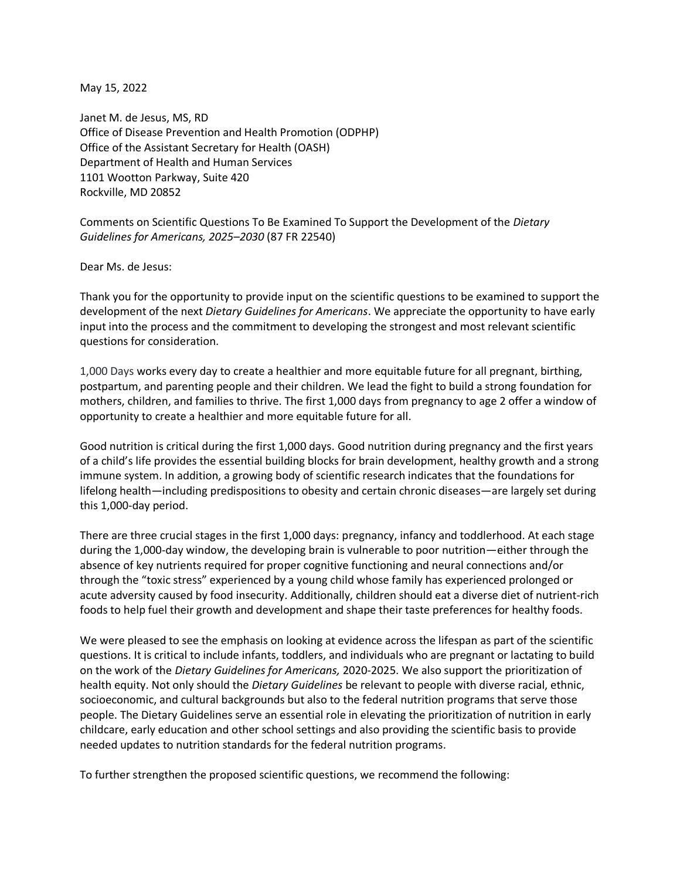May 15, 2022

Janet M. de Jesus, MS, RD Office of Disease Prevention and Health Promotion (ODPHP) Office of the Assistant Secretary for Health (OASH) Department of Health and Human Services 1101 Wootton Parkway, Suite 420 Rockville, MD 20852

Comments on Scientific Questions To Be Examined To Support the Development of the *Dietary Guidelines for Americans, 2025–2030* (87 FR 22540)

Dear Ms. de Jesus:

Thank you for the opportunity to provide input on the scientific questions to be examined to support the development of the next *Dietary Guidelines for Americans*. We appreciate the opportunity to have early input into the process and the commitment to developing the strongest and most relevant scientific questions for consideration.

1,000 Days works every day to create a healthier and more equitable future for all pregnant, birthing, postpartum, and parenting people and their children. We lead the fight to build a strong foundation for mothers, children, and families to thrive. The first 1,000 days from pregnancy to age 2 offer a window of opportunity to create a healthier and more equitable future for all.

Good nutrition is critical during the first 1,000 days. Good nutrition during pregnancy and the first years of a child's life provides the essential building blocks for brain development, healthy growth and a strong immune system. In addition, a growing body of scientific research indicates that the foundations for lifelong health—including predispositions to obesity and certain chronic diseases—are largely set during this 1,000-day period.

There are three crucial stages in the first 1,000 days: pregnancy, infancy and toddlerhood. At each stage during the 1,000-day window, the developing brain is vulnerable to poor nutrition—either through the absence of key nutrients required for proper cognitive functioning and neural connections and/or through the "toxic stress" experienced by a young child whose family has experienced prolonged or acute adversity caused by food insecurity. Additionally, children should eat a diverse diet of nutrient-rich foods to help fuel their growth and development and shape their taste preferences for healthy foods.

We were pleased to see the emphasis on looking at evidence across the lifespan as part of the scientific questions. It is critical to include infants, toddlers, and individuals who are pregnant or lactating to build on the work of the *Dietary Guidelines for Americans,* 2020-2025. We also support the prioritization of health equity. Not only should the *Dietary Guidelines* be relevant to people with diverse racial, ethnic, socioeconomic, and cultural backgrounds but also to the federal nutrition programs that serve those people. The Dietary Guidelines serve an essential role in elevating the prioritization of nutrition in early childcare, early education and other school settings and also providing the scientific basis to provide needed updates to nutrition standards for the federal nutrition programs.

To further strengthen the proposed scientific questions, we recommend the following: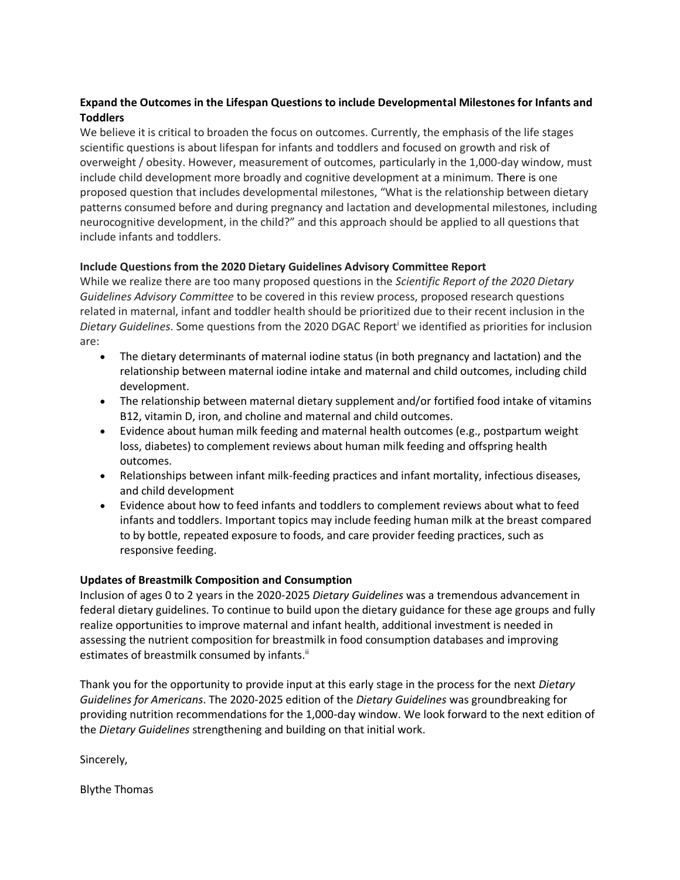## **Expand the Outcomes in the Lifespan Questions to include Developmental Milestones for Infants and Toddlers**

We believe it is critical to broaden the focus on outcomes. Currently, the emphasis of the life stages scientific questions is about lifespan for infants and toddlers and focused on growth and risk of overweight / obesity. However, measurement of outcomes, particularly in the 1,000-day window, must include child development more broadly and cognitive development at a minimum. There is one proposed question that includes developmental milestones, "What is the relationship between dietary patterns consumed before and during pregnancy and lactation and developmental milestones, including neurocognitive development, in the child?" and this approach should be applied to all questions that include infants and toddlers.

## **Include Questions from the 2020 Dietary Guidelines Advisory Committee Report**

While we realize there are too many proposed questions in the *Scientific Report of the 2020 Dietary Guidelines Advisory Committee* to be covered in this review process, proposed research questions related in maternal, infant and toddler health should be prioritized due to their recent inclusion in the *Dietary Guidelines*. Some questions from the 2020 DGAC Report<sup>i</sup> we identified as priorities for inclusion are:

- The dietary determinants of maternal iodine status (in both pregnancy and lactation) and the relationship between maternal iodine intake and maternal and child outcomes, including child development.
- The relationship between maternal dietary supplement and/or fortified food intake of vitamins B12, vitamin D, iron, and choline and maternal and child outcomes.
- Evidence about human milk feeding and maternal health outcomes (e.g., postpartum weight loss, diabetes) to complement reviews about human milk feeding and offspring health outcomes.
- Relationships between infant milk-feeding practices and infant mortality, infectious diseases, and child development
- Evidence about how to feed infants and toddlers to complement reviews about what to feed infants and toddlers. Important topics may include feeding human milk at the breast compared to by bottle, repeated exposure to foods, and care provider feeding practices, such as responsive feeding.

## **Updates of Breastmilk Composition and Consumption**

Inclusion of ages 0 to 2 years in the 2020-2025 *Dietary Guidelines* was a tremendous advancement in federal dietary guidelines. To continue to build upon the dietary guidance for these age groups and fully realize opportunities to improve maternal and infant health, additional investment is needed in assessing the nutrient composition for breastmilk in food consumption databases and improving estimates of breastmilk consumed by infants.<sup>ii</sup>

Thank you for the opportunity to provide input at this early stage in the process for the next *Dietary Guidelines for Americans*. The 2020-2025 edition of the *Dietary Guidelines* was groundbreaking for providing nutrition recommendations for the 1,000-day window. We look forward to the next edition of the *Dietary Guidelines* strengthening and building on that initial work.

Sincerely,

Blythe Thomas